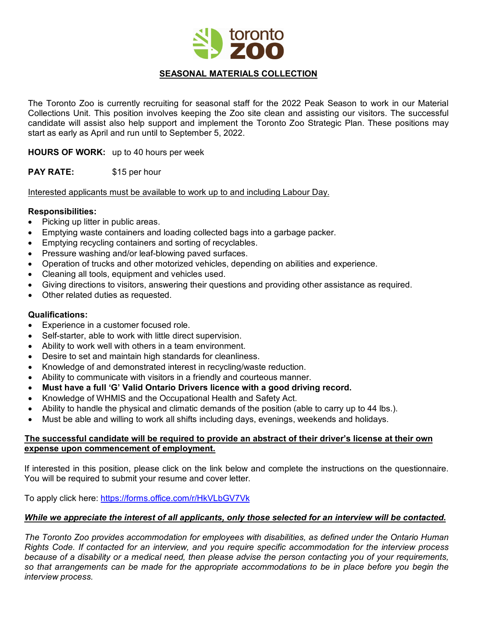

# **SEASONAL MATERIALS COLLECTION**

The Toronto Zoo is currently recruiting for seasonal staff for the 2022 Peak Season to work in our Material Collections Unit. This position involves keeping the Zoo site clean and assisting our visitors. The successful candidate will assist also help support and implement the Toronto Zoo Strategic Plan. These positions may start as early as April and run until to September 5, 2022.

**HOURS OF WORK:** up to 40 hours per week

**PAY RATE:** \$15 per hour

Interested applicants must be available to work up to and including Labour Day.

# **Responsibilities:**

- Picking up litter in public areas.
- Emptying waste containers and loading collected bags into a garbage packer.
- Emptying recycling containers and sorting of recyclables.
- Pressure washing and/or leaf-blowing paved surfaces.
- Operation of trucks and other motorized vehicles, depending on abilities and experience.
- Cleaning all tools, equipment and vehicles used.
- Giving directions to visitors, answering their questions and providing other assistance as required.
- Other related duties as requested.

# **Qualifications:**

- Experience in a customer focused role.
- Self-starter, able to work with little direct supervision.
- Ability to work well with others in a team environment.
- Desire to set and maintain high standards for cleanliness.
- Knowledge of and demonstrated interest in recycling/waste reduction.
- Ability to communicate with visitors in a friendly and courteous manner.
- **Must have a full 'G' Valid Ontario Drivers licence with a good driving record.**
- Knowledge of WHMIS and the Occupational Health and Safety Act.
- Ability to handle the physical and climatic demands of the position (able to carry up to 44 lbs.).
- Must be able and willing to work all shifts including days, evenings, weekends and holidays.

#### **The successful candidate will be required to provide an abstract of their driver's license at their own expense upon commencement of employment.**

If interested in this position, please click on the link below and complete the instructions on the questionnaire. You will be required to submit your resume and cover letter.

To apply click here: <https://forms.office.com/r/HkVLbGV7Vk>

#### *While we appreciate the interest of all applicants, only those selected for an interview will be contacted.*

*The Toronto Zoo provides accommodation for employees with disabilities, as defined under the Ontario Human Rights Code. If contacted for an interview, and you require specific accommodation for the interview process because of a disability or a medical need, then please advise the person contacting you of your requirements, so that arrangements can be made for the appropriate accommodations to be in place before you begin the interview process.*